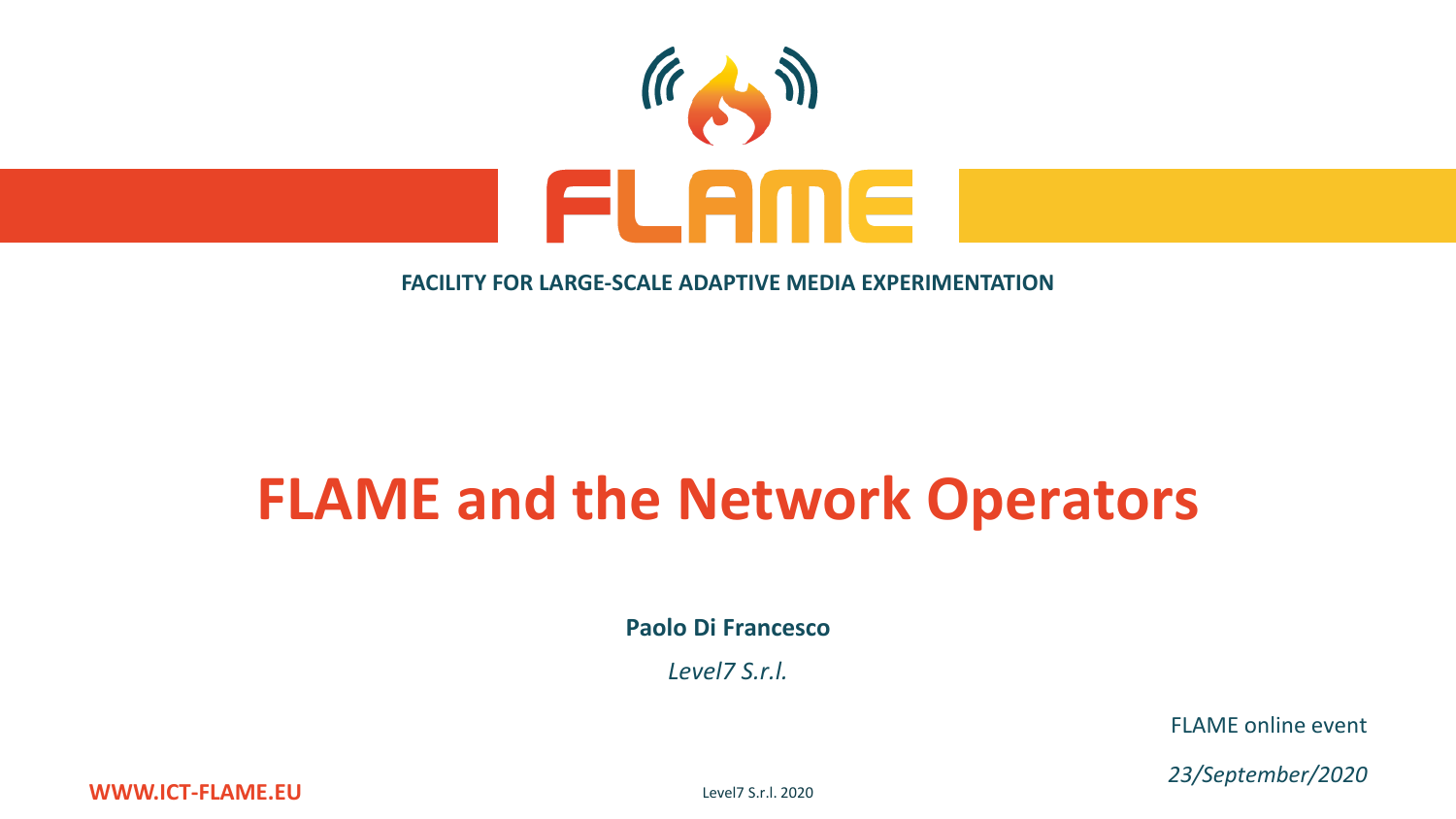

#### **FACILITY FOR LARGE-SCALE ADAPTIVE MEDIA EXPERIMENTATION**

# **FLAME and the Network Operators**

**Paolo Di Francesco**

*Level7 S.r.l.*

FLAME online event

*23/September/2020*

**WWW.ICT-FLAME.EU**

Level7 S.r.l. 2020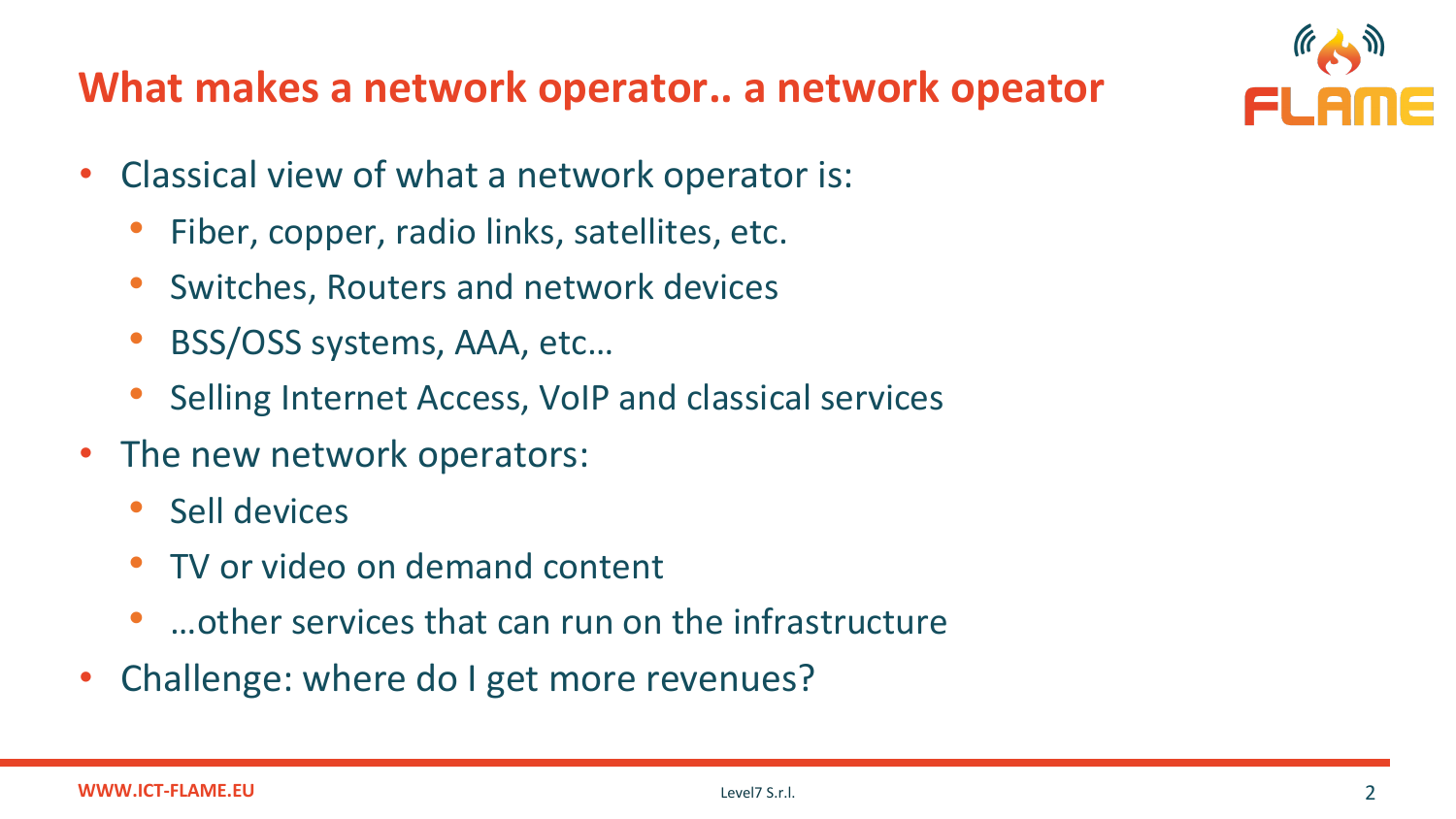#### **What makes a network operator.. a network opeator**



- Classical view of what a network operator is:
	- Fiber, copper, radio links, satellites, etc.
	- Switches, Routers and network devices
	- BSS/OSS systems, AAA, etc…
	- Selling Internet Access, VoIP and classical services
- The new network operators:
	- Sell devices
	- TV or video on demand content
	- …other services that can run on the infrastructure
- Challenge: where do I get more revenues?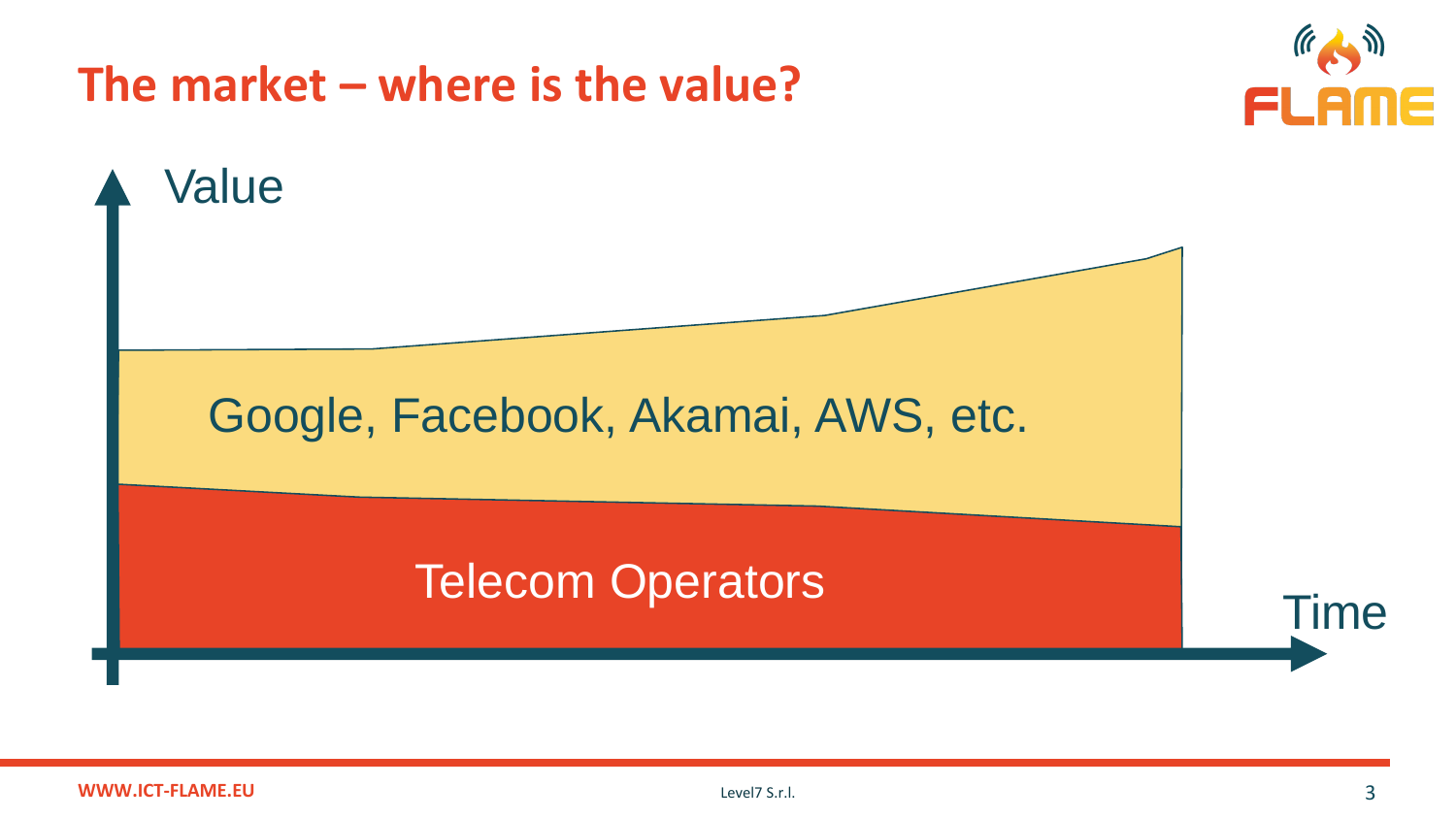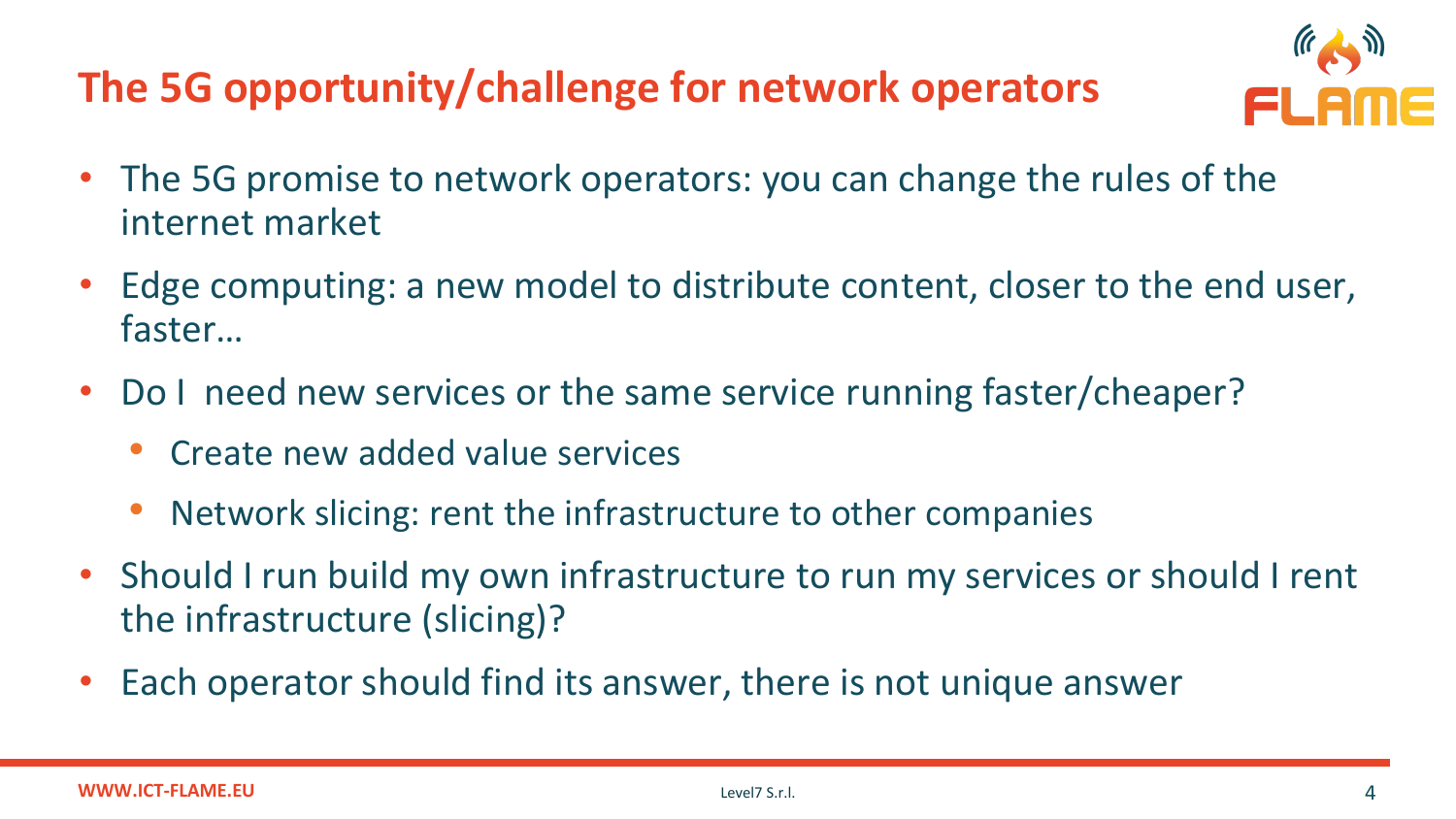#### **The 5G opportunity/challenge for network operators**



- The 5G promise to network operators: you can change the rules of the internet market
- Edge computing: a new model to distribute content, closer to the end user, faster…
- Do I need new services or the same service running faster/cheaper?
	- Create new added value services
	- Network slicing: rent the infrastructure to other companies
- Should I run build my own infrastructure to run my services or should I rent the infrastructure (slicing)?
- Each operator should find its answer, there is not unique answer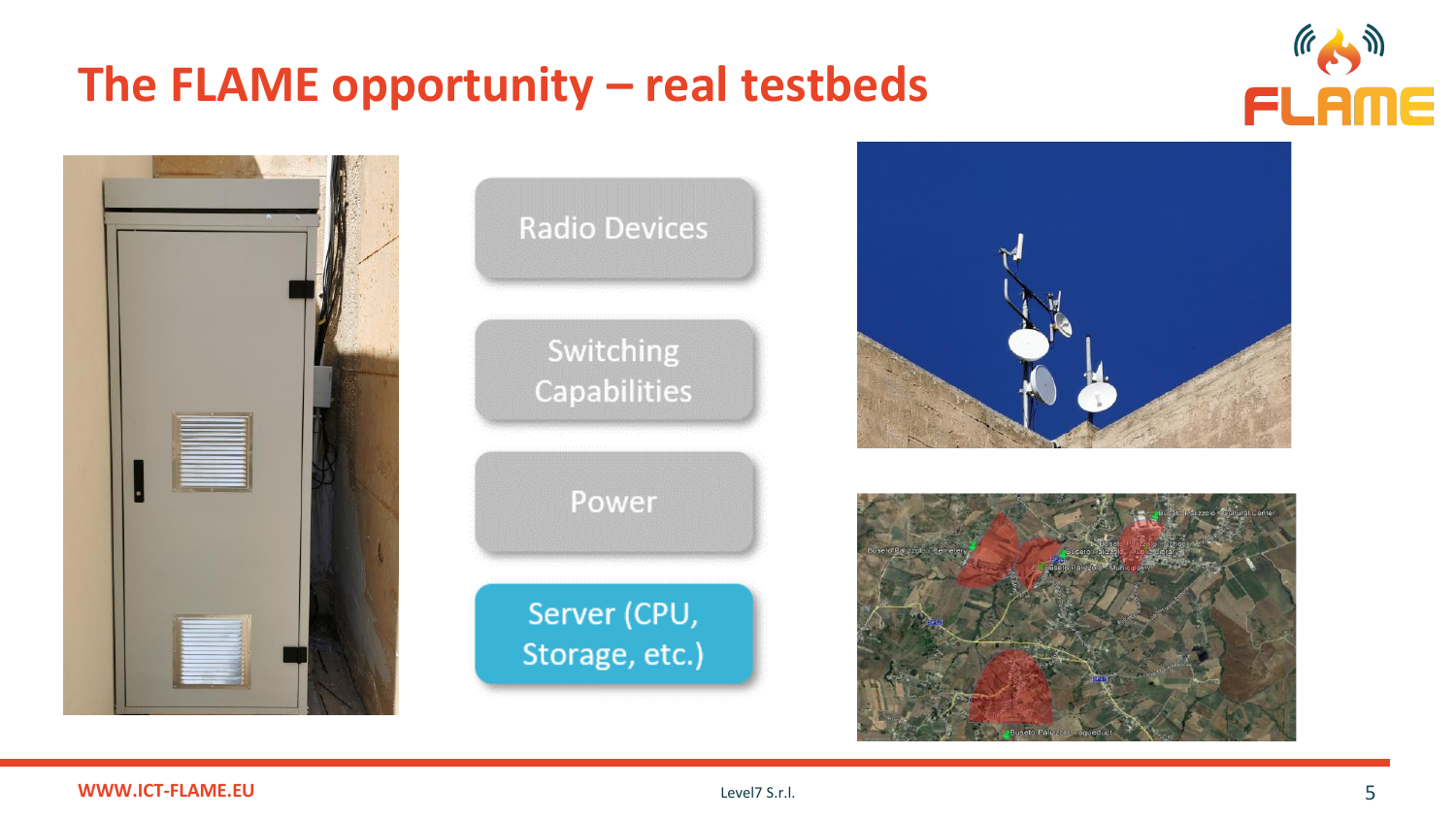### The FLAME opportunity - real testbeds











#### **WWW.ICT-FLAME.EU**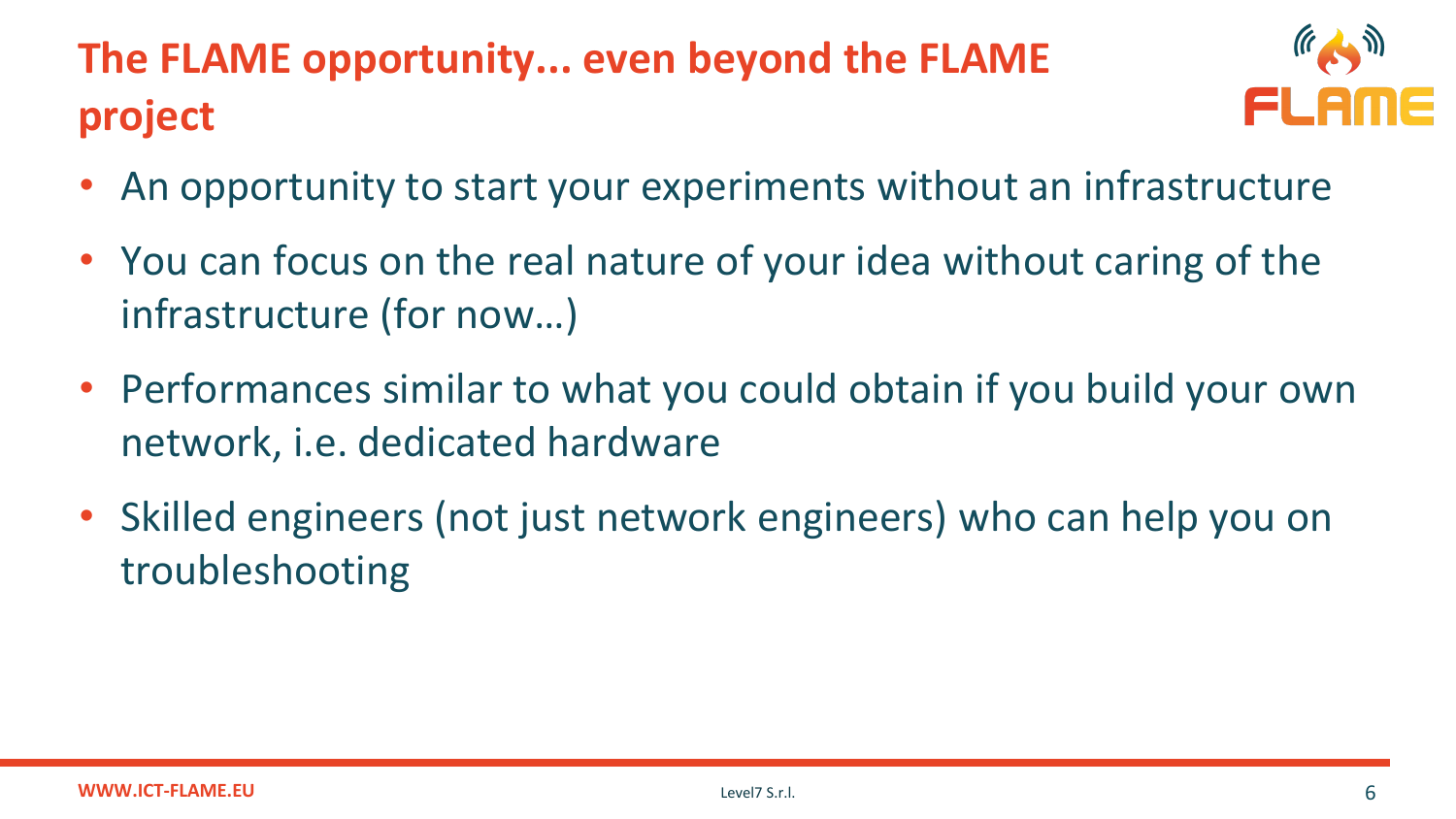## **The FLAME opportunity... even beyond the FLAME project**



- An opportunity to start your experiments without an infrastructure
- You can focus on the real nature of your idea without caring of the infrastructure (for now…)
- Performances similar to what you could obtain if you build your own network, i.e. dedicated hardware
- Skilled engineers (not just network engineers) who can help you on troubleshooting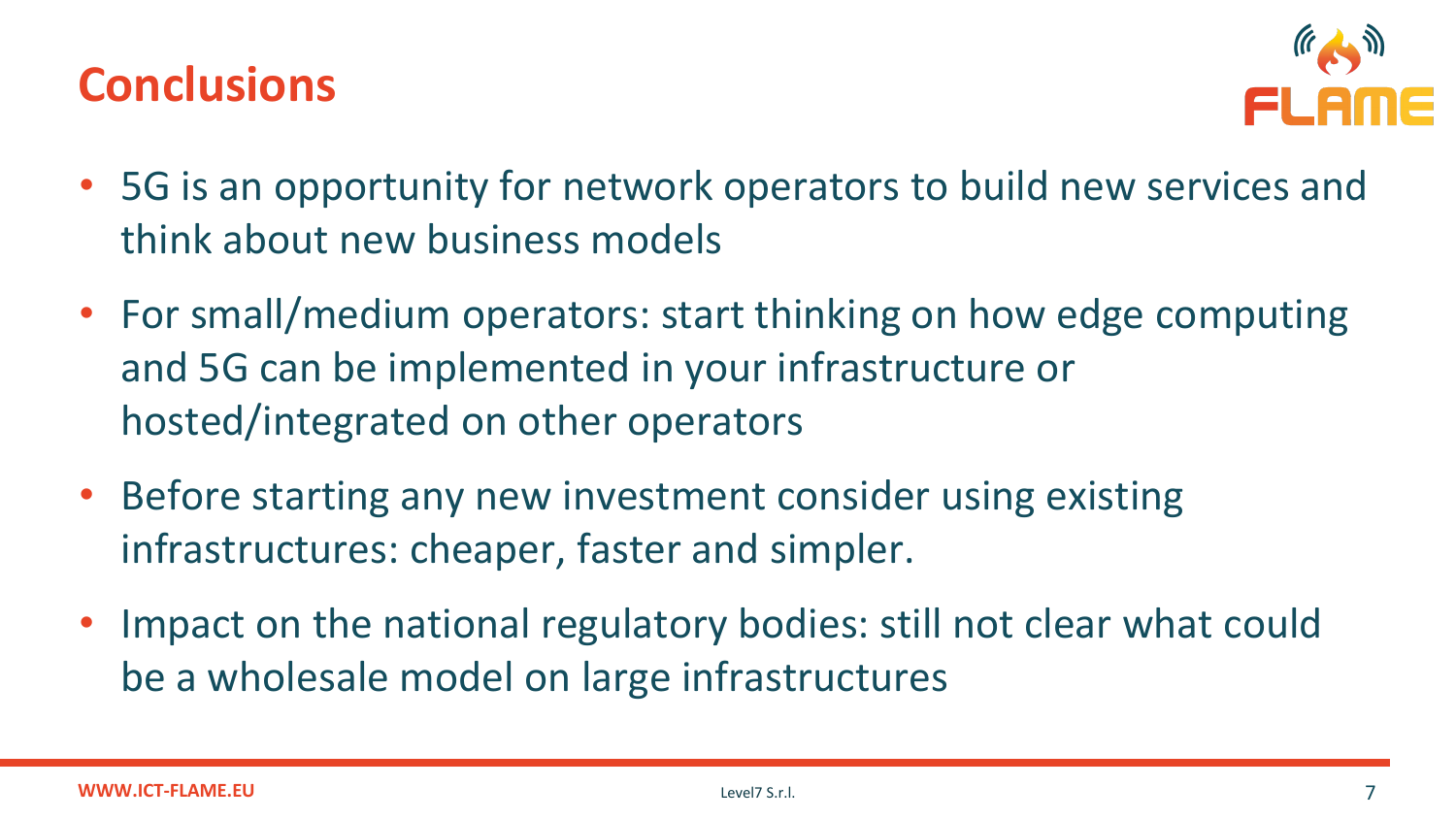### **Conclusions**



- 5G is an opportunity for network operators to build new services and think about new business models
- For small/medium operators: start thinking on how edge computing and 5G can be implemented in your infrastructure or hosted/integrated on other operators
- Before starting any new investment consider using existing infrastructures: cheaper, faster and simpler.
- Impact on the national regulatory bodies: still not clear what could be a wholesale model on large infrastructures